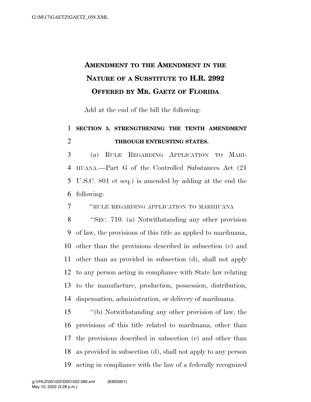## **AMENDMENT TO THE AMENDMENT IN THE NATURE OF A SUBSTITUTE TO H.R. 2992 OFFERED BY MR. GAETZ OF FLORIDA**

Add at the end of the bill the following:

## **SECTION 5. STRENGTHENING THE TENTH AMENDMENT THROUGH ENTRUSTING STATES.**

 (a) RULE REGARDING APPLICATION TO MARI- HUANA.—Part G of the Controlled Substances Act (21 U.S.C. 801 et seq.) is amended by adding at the end the following:

''RULE REGARDING APPLICATION TO MARIHUANA

 ''SEC. 710. (a) Notwithstanding any other provision of law, the provisions of this title as applied to marihuana, other than the provisions described in subsection (c) and other than as provided in subsection (d), shall not apply to any person acting in compliance with State law relating to the manufacture, production, possession, distribution, dispensation, administration, or delivery of marihuana.

 ''(b) Notwithstanding any other provision of law, the provisions of this title related to marihuana, other than the provisions described in subsection (c) and other than as provided in subsection (d), shall not apply to any person acting in compliance with the law of a federally recognized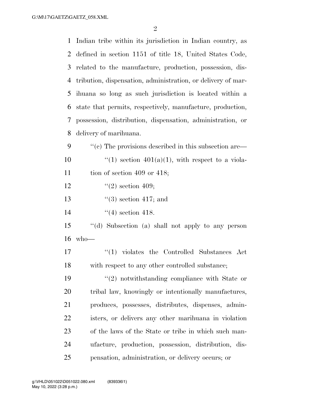| $\mathbf{1}$ | Indian tribe within its jurisdiction in Indian country, as                                |
|--------------|-------------------------------------------------------------------------------------------|
| 2            | defined in section 1151 of title 18, United States Code,                                  |
| 3            | related to the manufacture, production, possession, dis-                                  |
| 4            | tribution, dispensation, administration, or delivery of mar-                              |
| 5            | ihuana so long as such jurisdiction is located within a                                   |
| 6            | state that permits, respectively, manufacture, production,                                |
| 7            | possession, distribution, dispensation, administration, or                                |
| 8            | delivery of marihuana.                                                                    |
| 9            | $\cdot\cdot$ (c) The provisions described in this subsection are $\overline{\phantom{a}}$ |
| 10           | "(1) section $401(a)(1)$ , with respect to a viola-                                       |
| 11           | tion of section 409 or 418;                                                               |
| 12           | $\lq(2)$ section 409;                                                                     |
| 13           | $\lq(3)$ section 417; and                                                                 |
| 14           | $\lq(4)$ section 418.                                                                     |
| 15           | "(d) Subsection (a) shall not apply to any person                                         |
| 16           | $who$ —                                                                                   |
| 17           | $\lq(1)$ violates the Controlled Substances Act                                           |
| 18           | with respect to any other controlled substance;                                           |
| 19           | $(2)$ notwithstanding compliance with State or                                            |
| 20           | tribal law, knowingly or intentionally manufactures,                                      |
| 21           | produces, possesses, distributes, dispenses, admin-                                       |
| 22           | isters, or delivers any other marihuana in violation                                      |
| 23           | of the laws of the State or tribe in which such man-                                      |
| 24           | ufacture, production, possession, distribution, dis-                                      |
| 25           | pensation, administration, or delivery occurs; or                                         |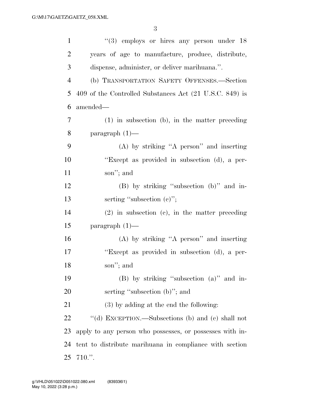| $\mathbf{1}$   | $(3)$ employs or hires any person under 18               |
|----------------|----------------------------------------------------------|
| $\overline{2}$ | years of age to manufacture, produce, distribute,        |
| 3              | dispense, administer, or deliver marihuana.".            |
| $\overline{4}$ | (b) TRANSPORTATION SAFETY OFFENSES.-Section              |
| 5              | 409 of the Controlled Substances Act (21 U.S.C. 849) is  |
| 6              | amended-                                                 |
| 7              | $(1)$ in subsection $(b)$ , in the matter preceding      |
| 8              | paragraph $(1)$ —                                        |
| 9              | (A) by striking "A person" and inserting                 |
| 10             | "Except as provided in subsection (d), a per-            |
| 11             | son"; and                                                |
| 12             | $(B)$ by striking "subsection $(b)$ " and in-            |
| 13             | serting "subsection $(e)$ ";                             |
| 14             | $(2)$ in subsection $(c)$ , in the matter preceding      |
| 15             | paragraph $(1)$ —                                        |
| 16             | $(A)$ by striking "A person" and inserting               |
| 17             | "Except as provided in subsection (d), a per-            |
| 18             | son"; and                                                |
| 19             | $(B)$ by striking "subsection $(a)$ " and in-            |
| 20             | serting "subsection (b)"; and                            |
| 21             | $(3)$ by adding at the end the following:                |
| 22             | "(d) EXCEPTION.—Subsections (b) and (c) shall not        |
| 23             | apply to any person who possesses, or possesses with in- |
| 24             | tent to distribute marihuana in compliance with section  |
| 25             | $710.$ ".                                                |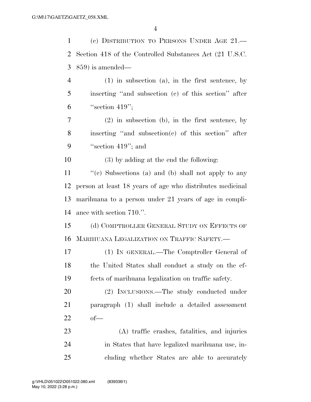(c) DISTRIBUTION TO PERSONS UNDER AGE 21.— Section 418 of the Controlled Substances Act (21 U.S.C. 859) is amended— (1) in subsection (a), in the first sentence, by inserting ''and subsection (c) of this section'' after "section 419"; (2) in subsection (b), in the first sentence, by inserting ''and subsection(c) of this section'' after 9 "section 419"; and (3) by adding at the end the following: ''(c) Subsections (a) and (b) shall not apply to any person at least 18 years of age who distributes medicinal marihuana to a person under 21 years of age in compli- ance with section 710.''. (d) COMPTROLLER GENERAL STUDY ON EFFECTS OF MARIHUANA LEGALIZATION ON TRAFFIC SAFETY.— (1) IN GENERAL.—The Comptroller General of the United States shall conduct a study on the ef- fects of marihuana legalization on traffic safety. (2) INCLUSIONS.—The study conducted under paragraph (1) shall include a detailed assessment of— (A) traffic crashes, fatalities, and injuries in States that have legalized marihuana use, in-cluding whether States are able to accurately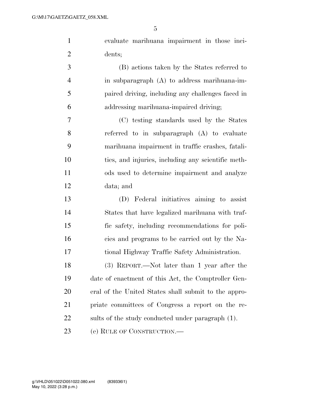| $\mathbf{1}$   | evaluate marihuana impairment in those inci-         |
|----------------|------------------------------------------------------|
| $\overline{2}$ | dents;                                               |
| 3              | (B) actions taken by the States referred to          |
| $\overline{4}$ | in subparagraph $(A)$ to address marihuana-im-       |
| 5              | paired driving, including any challenges faced in    |
| 6              | addressing marihuana-impaired driving;               |
| 7              | (C) testing standards used by the States             |
| 8              | referred to in subparagraph $(A)$ to evaluate        |
| 9              | marihuana impairment in traffic crashes, fatali-     |
| 10             | ties, and injuries, including any scientific meth-   |
| 11             | ods used to determine impairment and analyze         |
| 12             | data; and                                            |
| 13             | (D) Federal initiatives aiming to assist             |
| 14             | States that have legalized marihuana with traf-      |
| 15             | fic safety, including recommendations for poli-      |
| 16             | cies and programs to be carried out by the Na-       |
| 17             | tional Highway Traffic Safety Administration.        |
| 18             | (3) REPORT.—Not later than 1 year after the          |
| 19             | date of enactment of this Act, the Comptroller Gen-  |
| 20             | eral of the United States shall submit to the appro- |
| 21             | priate committees of Congress a report on the re-    |
| 22             | sults of the study conducted under paragraph (1).    |
| 23             | (e) RULE OF CONSTRUCTION.—                           |